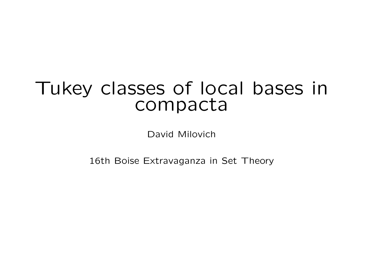# Tukey classes of local bases in compacta

David Milovich

16th Boise Extravaganza in Set Theory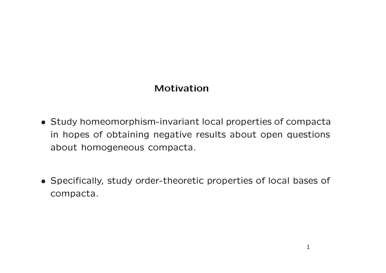## Motivation

- Study homeomorphism-invariant local properties of compacta in hopes of obtaining negative results about open questions about homogeneous compacta.
- Specifically, study order-theoretic properties of local bases of compacta.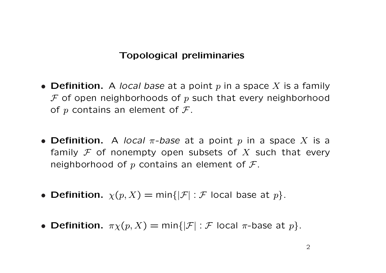#### Topological preliminaries

- Definition. A local base at a point p in a space X is a family  $F$  of open neighborhoods of p such that every neighborhood of  $p$  contains an element of  $\mathcal{F}$ .
- Definition. A local  $\pi$ -base at a point p in a space X is a family F of nonempty open subsets of X such that every neighborhood of p contains an element of  $\mathcal{F}$ .
- Definition.  $\chi(p, X) = \min\{|\mathcal{F}| : \mathcal{F} \text{ local base at } p\}.$
- Definition.  $\pi \chi(p, X) = \min\{|\mathcal{F}| : \mathcal{F} \text{ local } \pi\text{-base at } p\}.$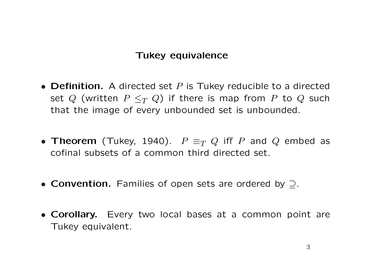#### Tukey equivalence

- Definition. A directed set  $P$  is Tukey reducible to a directed set Q (written  $P \leq_T Q$ ) if there is map from P to Q such that the image of every unbounded set is unbounded.
- Theorem (Tukey, 1940).  $P \equiv_T Q$  iff P and Q embed as cofinal subsets of a common third directed set.
- Convention. Families of open sets are ordered by ⊃.
- Corollary. Every two local bases at a common point are Tukey equivalent.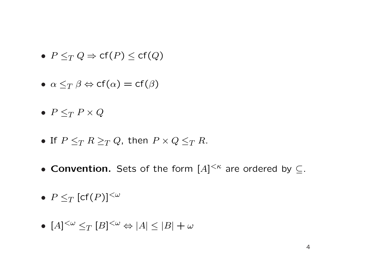- $P \leq_T Q \Rightarrow cf(P) \leq cf(Q)$
- $\alpha \leq_T \beta \Leftrightarrow cf(\alpha) = cf(\beta)$
- $P \leq_T P \times Q$
- If  $P \leq_T R \geq_T Q$ , then  $P \times Q \leq_T R$ .
- Convention. Sets of the form  $[A]^{<\kappa}$  are ordered by  $\subseteq$ .
- $P \leq_T [\text{cf}(P)]^{\leq \omega}$
- $[A]^{<\omega} \leq_T [B]^{<\omega} \Leftrightarrow |A| \leq |B| + \omega$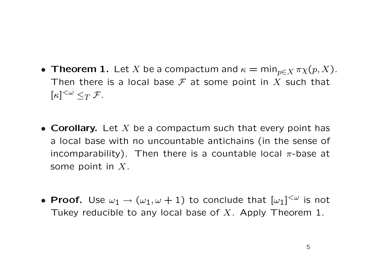- Theorem 1. Let X be a compactum and  $\kappa = \min_{p \in X} \pi \chi(p, X)$ . Then there is a local base  $\mathcal F$  at some point in X such that  $[\kappa]^{<\omega} \leq_T \mathcal{F}.$
- Corollary. Let X be a compactum such that every point has a local base with no uncountable antichains (in the sense of incomparability). Then there is a countable local  $\pi$ -base at some point in  $X$ .
- Proof. Use  $\omega_1 \to (\omega_1, \omega + 1)$  to conclude that  $[\omega_1]^{<\omega}$  is not Tukey reducible to any local base of X. Apply Theorem 1.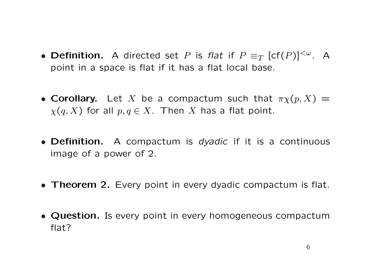- Definition. A directed set P is flat if  $P \equiv_T [\text{cf}(P)]^{\langle \omega \rangle}$ . A point in a space is flat if it has a flat local base.
- Corollary. Let X be a compactum such that  $\pi \chi(p, X) =$  $\chi(q, X)$  for all  $p, q \in X$ . Then X has a flat point.
- **Definition.** A compactum is *dyadic* if it is a continuous image of a power of 2.
- Theorem 2. Every point in every dyadic compactum is flat.
- Question. Is every point in every homogeneous compactum flat?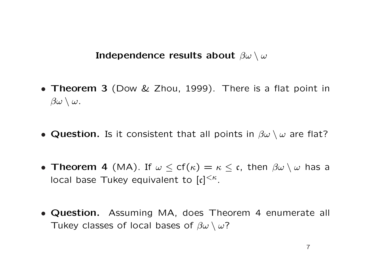Independence results about  $\beta\omega \setminus \omega$ 

- Theorem 3 (Dow & Zhou, 1999). There is a flat point in  $\beta\omega \setminus \omega$ .
- Question. Is it consistent that all points in  $\beta\omega \setminus \omega$  are flat?
- Theorem 4 (MA). If  $\omega \leq cf(\kappa) = \kappa \leq \mathfrak{c}$ , then  $\beta\omega \setminus \omega$  has a local base Tukey equivalent to  $[c]^{<\kappa}$ .
- Question. Assuming MA, does Theorem 4 enumerate all Tukey classes of local bases of  $\beta\omega \setminus \omega$ ?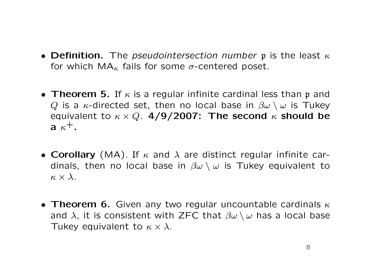- Definition. The *pseudointersection number* p is the least  $\kappa$ for which  $MA_{\kappa}$  fails for some  $\sigma$ -centered poset.
- Theorem 5. If  $\kappa$  is a regular infinite cardinal less than p and Q is a  $\kappa$ -directed set, then no local base in  $\beta\omega \setminus \omega$  is Tukey equivalent to  $\kappa \times Q$ . 4/9/2007: The second  $\kappa$  should be a  $\kappa^+$ .
- Corollary (MA). If  $\kappa$  and  $\lambda$  are distinct regular infinite cardinals, then no local base in  $\beta\omega \setminus \omega$  is Tukey equivalent to  $\kappa \times \lambda$ .
- Theorem 6. Given any two regular uncountable cardinals  $\kappa$ and  $\lambda$ , it is consistent with ZFC that  $\beta\omega \setminus \omega$  has a local base Tukey equivalent to  $\kappa \times \lambda$ .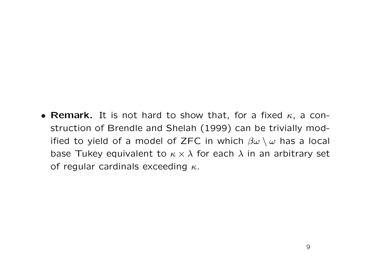• Remark. It is not hard to show that, for a fixed  $\kappa$ , a construction of Brendle and Shelah (1999) can be trivially modified to yield of a model of ZFC in which  $\beta\omega \setminus \omega$  has a local base Tukey equivalent to  $\kappa \times \lambda$  for each  $\lambda$  in an arbitrary set of regular cardinals exceeding  $\kappa$ .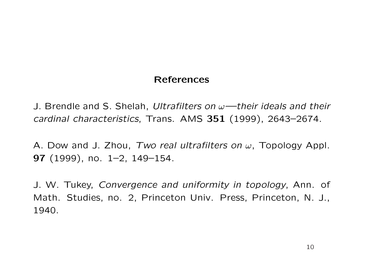### References

J. Brendle and S. Shelah, Ultrafilters on  $\omega$ —their ideals and their cardinal characteristics, Trans. AMS 351 (1999), 2643–2674.

A. Dow and J. Zhou, Two real ultrafilters on  $\omega$ , Topology Appl. 97 (1999), no. 1–2, 149–154.

J. W. Tukey, Convergence and uniformity in topology, Ann. of Math. Studies, no. 2, Princeton Univ. Press, Princeton, N. J., 1940.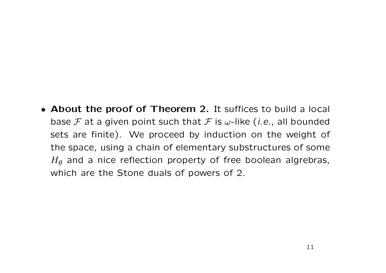• About the proof of Theorem 2. It suffices to build a local base F at a given point such that F is  $\omega$ -like (*i.e.*, all bounded sets are finite). We proceed by induction on the weight of the space, using a chain of elementary substructures of some  $H_{\theta}$  and a nice reflection property of free boolean algrebras, which are the Stone duals of powers of 2.